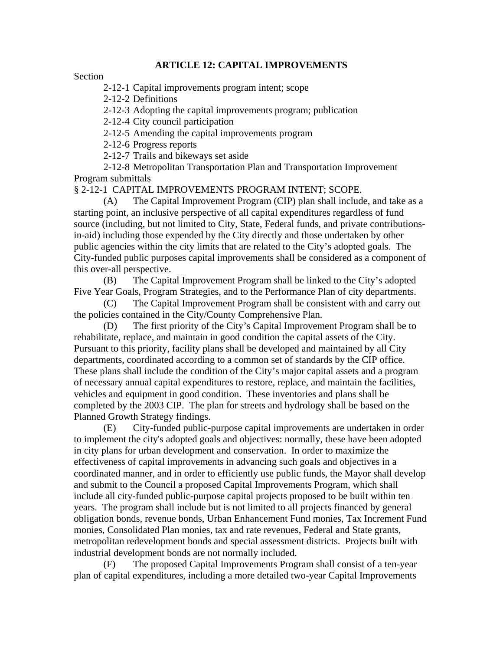## **ARTICLE 12: CAPITAL IMPROVEMENTS**

Section

2-12-1 Capital improvements program intent; scope

2-12-2 Definitions

2-12-3 Adopting the capital improvements program; publication

2-12-4 City council participation

2-12-5 Amending the capital improvements program

2-12-6 Progress reports

2-12-7 Trails and bikeways set aside

 2-12-8 Metropolitan Transportation Plan and Transportation Improvement Program submittals

§ 2-12-1 CAPITAL IMPROVEMENTS PROGRAM INTENT; SCOPE.

 (A) The Capital Improvement Program (CIP) plan shall include, and take as a starting point, an inclusive perspective of all capital expenditures regardless of fund source (including, but not limited to City, State, Federal funds, and private contributionsin-aid) including those expended by the City directly and those undertaken by other public agencies within the city limits that are related to the City's adopted goals. The City-funded public purposes capital improvements shall be considered as a component of this over-all perspective.

 (B) The Capital Improvement Program shall be linked to the City's adopted Five Year Goals, Program Strategies, and to the Performance Plan of city departments.

 (C) The Capital Improvement Program shall be consistent with and carry out the policies contained in the City/County Comprehensive Plan.

 (D) The first priority of the City's Capital Improvement Program shall be to rehabilitate, replace, and maintain in good condition the capital assets of the City. Pursuant to this priority, facility plans shall be developed and maintained by all City departments, coordinated according to a common set of standards by the CIP office. These plans shall include the condition of the City's major capital assets and a program of necessary annual capital expenditures to restore, replace, and maintain the facilities, vehicles and equipment in good condition. These inventories and plans shall be completed by the 2003 CIP. The plan for streets and hydrology shall be based on the Planned Growth Strategy findings.

 (E) City-funded public-purpose capital improvements are undertaken in order to implement the city's adopted goals and objectives: normally, these have been adopted in city plans for urban development and conservation. In order to maximize the effectiveness of capital improvements in advancing such goals and objectives in a coordinated manner, and in order to efficiently use public funds, the Mayor shall develop and submit to the Council a proposed Capital Improvements Program, which shall include all city-funded public-purpose capital projects proposed to be built within ten years. The program shall include but is not limited to all projects financed by general obligation bonds, revenue bonds, Urban Enhancement Fund monies, Tax Increment Fund monies, Consolidated Plan monies, tax and rate revenues, Federal and State grants, metropolitan redevelopment bonds and special assessment districts. Projects built with industrial development bonds are not normally included.

 (F) The proposed Capital Improvements Program shall consist of a ten-year plan of capital expenditures, including a more detailed two-year Capital Improvements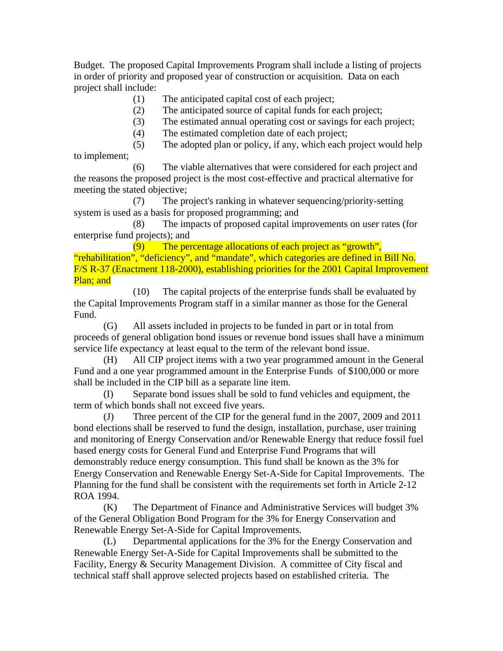Budget. The proposed Capital Improvements Program shall include a listing of projects in order of priority and proposed year of construction or acquisition. Data on each project shall include:

- (1) The anticipated capital cost of each project;
- (2) The anticipated source of capital funds for each project;
- (3) The estimated annual operating cost or savings for each project;
- (4) The estimated completion date of each project;

 (5) The adopted plan or policy, if any, which each project would help to implement;

 (6) The viable alternatives that were considered for each project and the reasons the proposed project is the most cost-effective and practical alternative for meeting the stated objective;

 (7) The project's ranking in whatever sequencing/priority-setting system is used as a basis for proposed programming; and

 (8) The impacts of proposed capital improvements on user rates (for enterprise fund projects); and

 (9) The percentage allocations of each project as "growth", "rehabilitation", "deficiency", and "mandate", which categories are defined in Bill No. F/S R-37 (Enactment 118-2000), establishing priorities for the 2001 Capital Improvement Plan; and

 (10) The capital projects of the enterprise funds shall be evaluated by the Capital Improvements Program staff in a similar manner as those for the General Fund.

 (G) All assets included in projects to be funded in part or in total from proceeds of general obligation bond issues or revenue bond issues shall have a minimum service life expectancy at least equal to the term of the relevant bond issue.

 (H) All CIP project items with a two year programmed amount in the General Fund and a one year programmed amount in the Enterprise Funds of \$100,000 or more shall be included in the CIP bill as a separate line item.

 (I) Separate bond issues shall be sold to fund vehicles and equipment, the term of which bonds shall not exceed five years.

 (J) Three percent of the CIP for the general fund in the 2007, 2009 and 2011 bond elections shall be reserved to fund the design, installation, purchase, user training and monitoring of Energy Conservation and/or Renewable Energy that reduce fossil fuel based energy costs for General Fund and Enterprise Fund Programs that will demonstrably reduce energy consumption. This fund shall be known as the 3% for Energy Conservation and Renewable Energy Set-A-Side for Capital Improvements. The Planning for the fund shall be consistent with the requirements set forth in Article 2-12 ROA 1994.

 (K) The Department of Finance and Administrative Services will budget 3% of the General Obligation Bond Program for the 3% for Energy Conservation and Renewable Energy Set-A-Side for Capital Improvements.

 (L) Departmental applications for the 3% for the Energy Conservation and Renewable Energy Set-A-Side for Capital Improvements shall be submitted to the Facility, Energy & Security Management Division. A committee of City fiscal and technical staff shall approve selected projects based on established criteria. The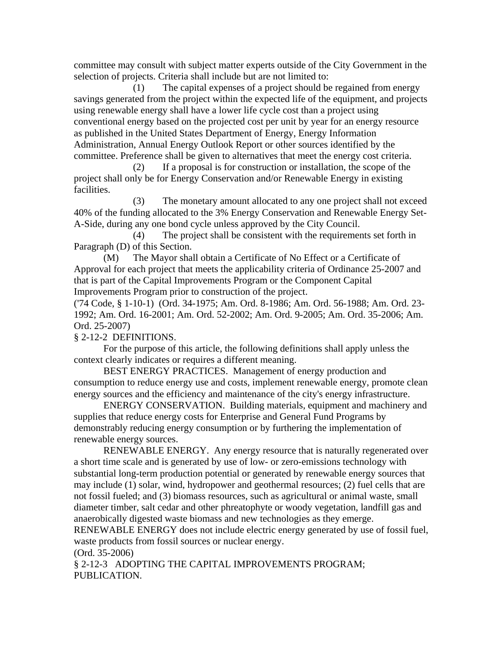committee may consult with subject matter experts outside of the City Government in the selection of projects. Criteria shall include but are not limited to:

 (1) The capital expenses of a project should be regained from energy savings generated from the project within the expected life of the equipment, and projects using renewable energy shall have a lower life cycle cost than a project using conventional energy based on the projected cost per unit by year for an energy resource as published in the United States Department of Energy, Energy Information Administration, Annual Energy Outlook Report or other sources identified by the committee. Preference shall be given to alternatives that meet the energy cost criteria.

 (2) If a proposal is for construction or installation, the scope of the project shall only be for Energy Conservation and/or Renewable Energy in existing facilities.

 (3) The monetary amount allocated to any one project shall not exceed 40% of the funding allocated to the 3% Energy Conservation and Renewable Energy Set-A-Side, during any one bond cycle unless approved by the City Council.

 (4) The project shall be consistent with the requirements set forth in Paragraph (D) of this Section.

 (M) The Mayor shall obtain a Certificate of No Effect or a Certificate of Approval for each project that meets the applicability criteria of Ordinance 25-2007 and that is part of the Capital Improvements Program or the Component Capital Improvements Program prior to construction of the project.

('74 Code, § 1-10-1) (Ord. 34-1975; Am. Ord. 8-1986; Am. Ord. 56-1988; Am. Ord. 23- 1992; Am. Ord. 16-2001; Am. Ord. 52-2002; Am. Ord. 9-2005; Am. Ord. 35-2006; Am. Ord. 25-2007)

## § 2-12-2 DEFINITIONS.

 For the purpose of this article, the following definitions shall apply unless the context clearly indicates or requires a different meaning.

 BEST ENERGY PRACTICES. Management of energy production and consumption to reduce energy use and costs, implement renewable energy, promote clean energy sources and the efficiency and maintenance of the city's energy infrastructure.

 ENERGY CONSERVATION. Building materials, equipment and machinery and supplies that reduce energy costs for Enterprise and General Fund Programs by demonstrably reducing energy consumption or by furthering the implementation of renewable energy sources.

 RENEWABLE ENERGY. Any energy resource that is naturally regenerated over a short time scale and is generated by use of low- or zero-emissions technology with substantial long-term production potential or generated by renewable energy sources that may include (1) solar, wind, hydropower and geothermal resources; (2) fuel cells that are not fossil fueled; and (3) biomass resources, such as agricultural or animal waste, small diameter timber, salt cedar and other phreatophyte or woody vegetation, landfill gas and anaerobically digested waste biomass and new technologies as they emerge.

RENEWABLE ENERGY does not include electric energy generated by use of fossil fuel, waste products from fossil sources or nuclear energy.

(Ord. 35-2006)

§ 2-12-3 ADOPTING THE CAPITAL IMPROVEMENTS PROGRAM; PUBLICATION.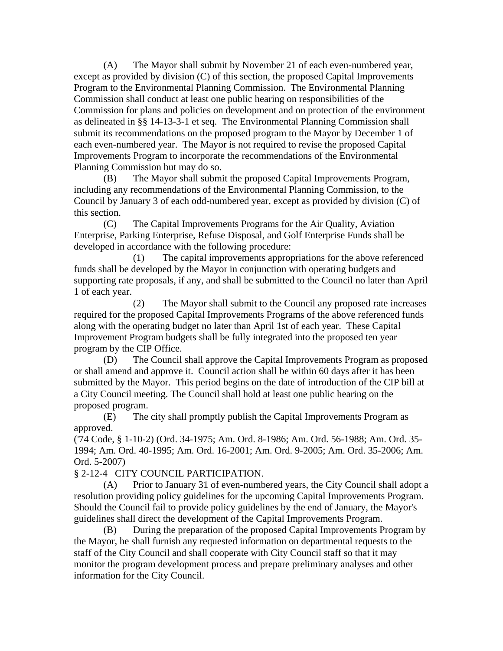(A) The Mayor shall submit by November 21 of each even-numbered year, except as provided by division (C) of this section, the proposed Capital Improvements Program to the Environmental Planning Commission. The Environmental Planning Commission shall conduct at least one public hearing on responsibilities of the Commission for plans and policies on development and on protection of the environment as delineated in §§ 14-13-3-1 et seq. The Environmental Planning Commission shall submit its recommendations on the proposed program to the Mayor by December 1 of each even-numbered year. The Mayor is not required to revise the proposed Capital Improvements Program to incorporate the recommendations of the Environmental Planning Commission but may do so.

 (B) The Mayor shall submit the proposed Capital Improvements Program, including any recommendations of the Environmental Planning Commission, to the Council by January 3 of each odd-numbered year, except as provided by division (C) of this section.

 (C) The Capital Improvements Programs for the Air Quality, Aviation Enterprise, Parking Enterprise, Refuse Disposal, and Golf Enterprise Funds shall be developed in accordance with the following procedure:

 (1) The capital improvements appropriations for the above referenced funds shall be developed by the Mayor in conjunction with operating budgets and supporting rate proposals, if any, and shall be submitted to the Council no later than April 1 of each year.

 (2) The Mayor shall submit to the Council any proposed rate increases required for the proposed Capital Improvements Programs of the above referenced funds along with the operating budget no later than April 1st of each year. These Capital Improvement Program budgets shall be fully integrated into the proposed ten year program by the CIP Office.

 (D) The Council shall approve the Capital Improvements Program as proposed or shall amend and approve it. Council action shall be within 60 days after it has been submitted by the Mayor. This period begins on the date of introduction of the CIP bill at a City Council meeting. The Council shall hold at least one public hearing on the proposed program.

 (E) The city shall promptly publish the Capital Improvements Program as approved.

('74 Code, § 1-10-2) (Ord. 34-1975; Am. Ord. 8-1986; Am. Ord. 56-1988; Am. Ord. 35- 1994; Am. Ord. 40-1995; Am. Ord. 16-2001; Am. Ord. 9-2005; Am. Ord. 35-2006; Am. Ord. 5-2007)

## § 2-12-4 CITY COUNCIL PARTICIPATION.

 (A) Prior to January 31 of even-numbered years, the City Council shall adopt a resolution providing policy guidelines for the upcoming Capital Improvements Program. Should the Council fail to provide policy guidelines by the end of January, the Mayor's guidelines shall direct the development of the Capital Improvements Program.

 (B) During the preparation of the proposed Capital Improvements Program by the Mayor, he shall furnish any requested information on departmental requests to the staff of the City Council and shall cooperate with City Council staff so that it may monitor the program development process and prepare preliminary analyses and other information for the City Council.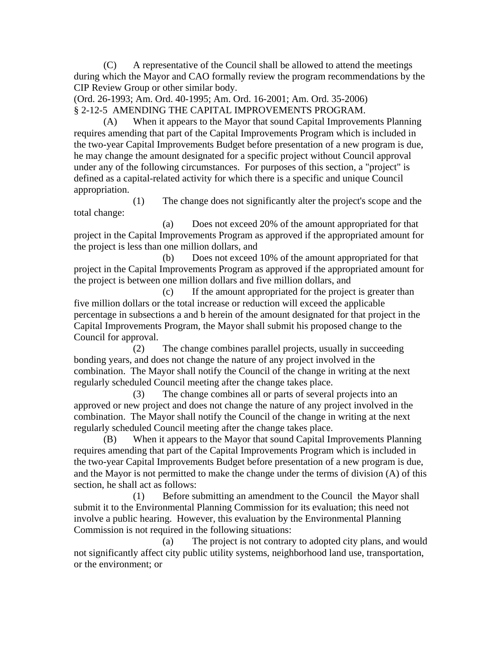(C) A representative of the Council shall be allowed to attend the meetings during which the Mayor and CAO formally review the program recommendations by the CIP Review Group or other similar body.

(Ord. 26-1993; Am. Ord. 40-1995; Am. Ord. 16-2001; Am. Ord. 35-2006) § 2-12-5 AMENDING THE CAPITAL IMPROVEMENTS PROGRAM.

 (A) When it appears to the Mayor that sound Capital Improvements Planning requires amending that part of the Capital Improvements Program which is included in the two-year Capital Improvements Budget before presentation of a new program is due, he may change the amount designated for a specific project without Council approval under any of the following circumstances. For purposes of this section, a "project" is defined as a capital-related activity for which there is a specific and unique Council appropriation.

 (1) The change does not significantly alter the project's scope and the total change:

 (a) Does not exceed 20% of the amount appropriated for that project in the Capital Improvements Program as approved if the appropriated amount for the project is less than one million dollars, and

 (b) Does not exceed 10% of the amount appropriated for that project in the Capital Improvements Program as approved if the appropriated amount for the project is between one million dollars and five million dollars, and

 (c) If the amount appropriated for the project is greater than five million dollars or the total increase or reduction will exceed the applicable percentage in subsections a and b herein of the amount designated for that project in the Capital Improvements Program, the Mayor shall submit his proposed change to the Council for approval.

 (2) The change combines parallel projects, usually in succeeding bonding years, and does not change the nature of any project involved in the combination. The Mayor shall notify the Council of the change in writing at the next regularly scheduled Council meeting after the change takes place.

 (3) The change combines all or parts of several projects into an approved or new project and does not change the nature of any project involved in the combination. The Mayor shall notify the Council of the change in writing at the next regularly scheduled Council meeting after the change takes place.

 (B) When it appears to the Mayor that sound Capital Improvements Planning requires amending that part of the Capital Improvements Program which is included in the two-year Capital Improvements Budget before presentation of a new program is due, and the Mayor is not permitted to make the change under the terms of division (A) of this section, he shall act as follows:

 (1) Before submitting an amendment to the Council the Mayor shall submit it to the Environmental Planning Commission for its evaluation; this need not involve a public hearing. However, this evaluation by the Environmental Planning Commission is not required in the following situations:

 (a) The project is not contrary to adopted city plans, and would not significantly affect city public utility systems, neighborhood land use, transportation, or the environment; or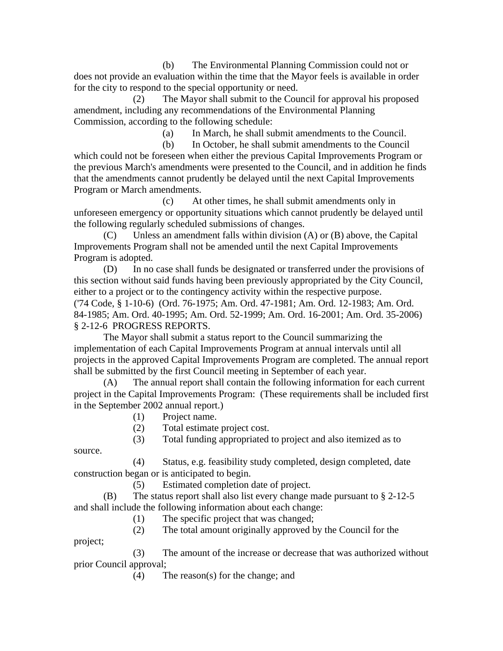(b) The Environmental Planning Commission could not or does not provide an evaluation within the time that the Mayor feels is available in order for the city to respond to the special opportunity or need.

The Mayor shall submit to the Council for approval his proposed amendment, including any recommendations of the Environmental Planning Commission, according to the following schedule:

(a) In March, he shall submit amendments to the Council.

 (b) In October, he shall submit amendments to the Council which could not be foreseen when either the previous Capital Improvements Program or the previous March's amendments were presented to the Council, and in addition he finds that the amendments cannot prudently be delayed until the next Capital Improvements Program or March amendments.

 (c) At other times, he shall submit amendments only in unforeseen emergency or opportunity situations which cannot prudently be delayed until the following regularly scheduled submissions of changes.

 (C) Unless an amendment falls within division (A) or (B) above, the Capital Improvements Program shall not be amended until the next Capital Improvements Program is adopted.

 (D) In no case shall funds be designated or transferred under the provisions of this section without said funds having been previously appropriated by the City Council, either to a project or to the contingency activity within the respective purpose. ('74 Code, § 1-10-6) (Ord. 76-1975; Am. Ord. 47-1981; Am. Ord. 12-1983; Am. Ord. 84-1985; Am. Ord. 40-1995; Am. Ord. 52-1999; Am. Ord. 16-2001; Am. Ord. 35-2006) § 2-12-6 PROGRESS REPORTS.

 The Mayor shall submit a status report to the Council summarizing the implementation of each Capital Improvements Program at annual intervals until all projects in the approved Capital Improvements Program are completed. The annual report shall be submitted by the first Council meeting in September of each year.

 (A) The annual report shall contain the following information for each current project in the Capital Improvements Program: (These requirements shall be included first in the September 2002 annual report.)

(1) Project name.

(2) Total estimate project cost.

 (3) Total funding appropriated to project and also itemized as to source.

 (4) Status, e.g. feasibility study completed, design completed, date construction began or is anticipated to begin.

(5) Estimated completion date of project.

 (B) The status report shall also list every change made pursuant to § 2-12-5 and shall include the following information about each change:

(1) The specific project that was changed;

(2) The total amount originally approved by the Council for the

project;

 (3) The amount of the increase or decrease that was authorized without prior Council approval;

(4) The reason(s) for the change; and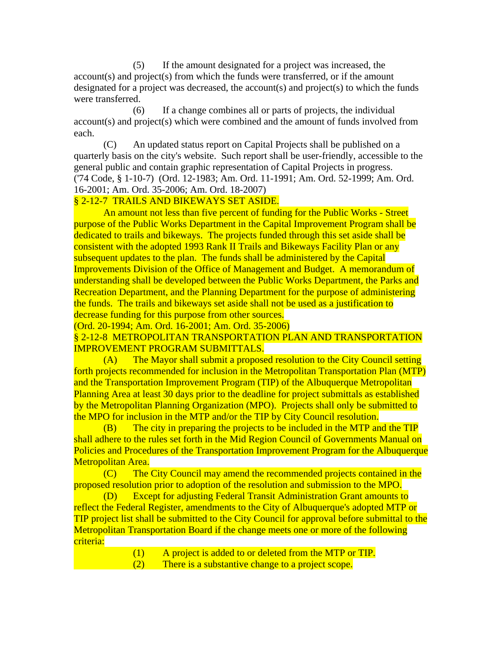(5) If the amount designated for a project was increased, the account(s) and project(s) from which the funds were transferred, or if the amount designated for a project was decreased, the account(s) and project(s) to which the funds were transferred.

 (6) If a change combines all or parts of projects, the individual account(s) and project(s) which were combined and the amount of funds involved from each.

 (C) An updated status report on Capital Projects shall be published on a quarterly basis on the city's website. Such report shall be user-friendly, accessible to the general public and contain graphic representation of Capital Projects in progress. ('74 Code, § 1-10-7) (Ord. 12-1983; Am. Ord. 11-1991; Am. Ord. 52-1999; Am. Ord. 16-2001; Am. Ord. 35-2006; Am. Ord. 18-2007)

## § 2-12-7 TRAILS AND BIKEWAYS SET ASIDE.

 An amount not less than five percent of funding for the Public Works - Street purpose of the Public Works Department in the Capital Improvement Program shall be dedicated to trails and bikeways. The projects funded through this set aside shall be consistent with the adopted 1993 Rank II Trails and Bikeways Facility Plan or any subsequent updates to the plan. The funds shall be administered by the Capital Improvements Division of the Office of Management and Budget. A memorandum of understanding shall be developed between the Public Works Department, the Parks and Recreation Department, and the Planning Department for the purpose of administering the funds. The trails and bikeways set aside shall not be used as a justification to decrease funding for this purpose from other sources.

(Ord. 20-1994; Am. Ord. 16-2001; Am. Ord. 35-2006)

§ 2-12-8 METROPOLITAN TRANSPORTATION PLAN AND TRANSPORTATION IMPROVEMENT PROGRAM SUBMITTALS.

 (A) The Mayor shall submit a proposed resolution to the City Council setting forth projects recommended for inclusion in the Metropolitan Transportation Plan (MTP) and the Transportation Improvement Program (TIP) of the Albuquerque Metropolitan Planning Area at least 30 days prior to the deadline for project submittals as established by the Metropolitan Planning Organization (MPO). Projects shall only be submitted to the MPO for inclusion in the MTP and/or the TIP by City Council resolution.

 (B) The city in preparing the projects to be included in the MTP and the TIP shall adhere to the rules set forth in the Mid Region Council of Governments Manual on Policies and Procedures of the Transportation Improvement Program for the Albuquerque Metropolitan Area.

 (C) The City Council may amend the recommended projects contained in the proposed resolution prior to adoption of the resolution and submission to the MPO.

 (D) Except for adjusting Federal Transit Administration Grant amounts to reflect the Federal Register, amendments to the City of Albuquerque's adopted MTP or TIP project list shall be submitted to the City Council for approval before submittal to the Metropolitan Transportation Board if the change meets one or more of the following criteria:

- (1) A project is added to or deleted from the MTP or TIP.
- (2) There is a substantive change to a project scope.